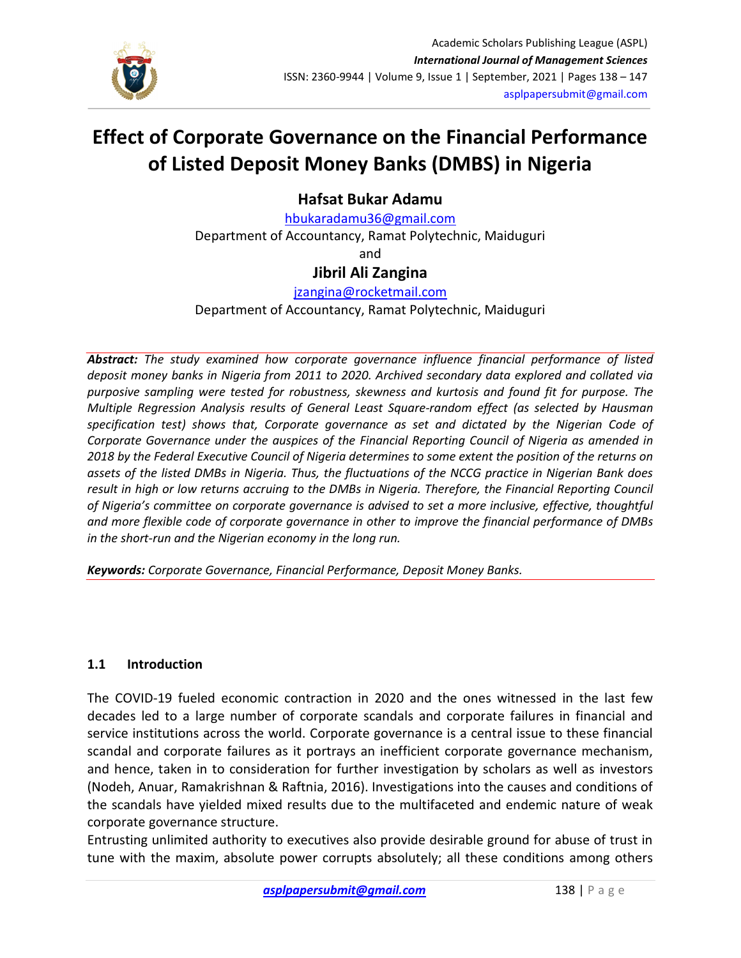

# Effect of Corporate Governance on the Financial Performance of Listed Deposit Money Banks (DMBS) in Nigeria

Hafsat Bukar Adamu

hbukaradamu36@gmail.com Department of Accountancy, Ramat Polytechnic, Maiduguri and

# Jibril Ali Zangina

### jzangina@rocketmail.com

Department of Accountancy, Ramat Polytechnic, Maiduguri

Abstract: The study examined how corporate governance influence financial performance of listed deposit money banks in Nigeria from 2011 to 2020. Archived secondary data explored and collated via purposive sampling were tested for robustness, skewness and kurtosis and found fit for purpose. The Multiple Regression Analysis results of General Least Square-random effect (as selected by Hausman specification test) shows that, Corporate governance as set and dictated by the Nigerian Code of Corporate Governance under the auspices of the Financial Reporting Council of Nigeria as amended in 2018 by the Federal Executive Council of Nigeria determines to some extent the position of the returns on assets of the listed DMBs in Nigeria. Thus, the fluctuations of the NCCG practice in Nigerian Bank does result in high or low returns accruing to the DMBs in Nigeria. Therefore, the Financial Reporting Council of Nigeria's committee on corporate governance is advised to set a more inclusive, effective, thoughtful and more flexible code of corporate governance in other to improve the financial performance of DMBs in the short-run and the Nigerian economy in the long run.

Keywords: Corporate Governance, Financial Performance, Deposit Money Banks.

#### 1.1 Introduction

The COVID-19 fueled economic contraction in 2020 and the ones witnessed in the last few decades led to a large number of corporate scandals and corporate failures in financial and service institutions across the world. Corporate governance is a central issue to these financial scandal and corporate failures as it portrays an inefficient corporate governance mechanism, and hence, taken in to consideration for further investigation by scholars as well as investors (Nodeh, Anuar, Ramakrishnan & Raftnia, 2016). Investigations into the causes and conditions of the scandals have yielded mixed results due to the multifaceted and endemic nature of weak corporate governance structure.

Entrusting unlimited authority to executives also provide desirable ground for abuse of trust in tune with the maxim, absolute power corrupts absolutely; all these conditions among others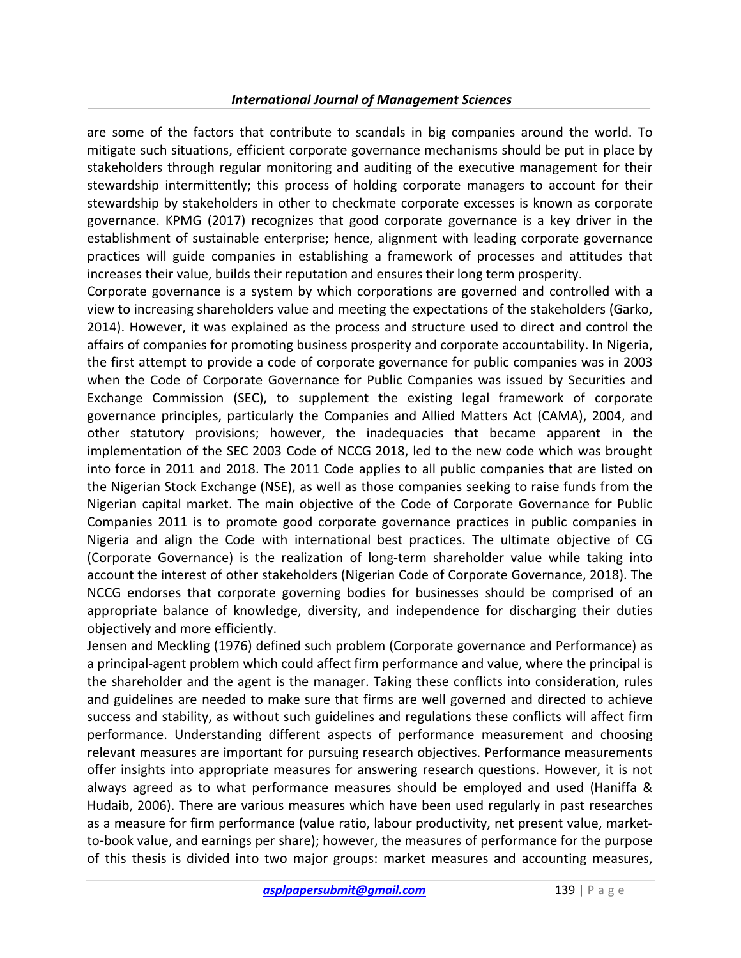are some of the factors that contribute to scandals in big companies around the world. To mitigate such situations, efficient corporate governance mechanisms should be put in place by stakeholders through regular monitoring and auditing of the executive management for their stewardship intermittently; this process of holding corporate managers to account for their stewardship by stakeholders in other to checkmate corporate excesses is known as corporate governance. KPMG (2017) recognizes that good corporate governance is a key driver in the establishment of sustainable enterprise; hence, alignment with leading corporate governance practices will guide companies in establishing a framework of processes and attitudes that increases their value, builds their reputation and ensures their long term prosperity.

Corporate governance is a system by which corporations are governed and controlled with a view to increasing shareholders value and meeting the expectations of the stakeholders (Garko, 2014). However, it was explained as the process and structure used to direct and control the affairs of companies for promoting business prosperity and corporate accountability. In Nigeria, the first attempt to provide a code of corporate governance for public companies was in 2003 when the Code of Corporate Governance for Public Companies was issued by Securities and Exchange Commission (SEC), to supplement the existing legal framework of corporate governance principles, particularly the Companies and Allied Matters Act (CAMA), 2004, and other statutory provisions; however, the inadequacies that became apparent in the implementation of the SEC 2003 Code of NCCG 2018, led to the new code which was brought into force in 2011 and 2018. The 2011 Code applies to all public companies that are listed on the Nigerian Stock Exchange (NSE), as well as those companies seeking to raise funds from the Nigerian capital market. The main objective of the Code of Corporate Governance for Public Companies 2011 is to promote good corporate governance practices in public companies in Nigeria and align the Code with international best practices. The ultimate objective of CG (Corporate Governance) is the realization of long-term shareholder value while taking into account the interest of other stakeholders (Nigerian Code of Corporate Governance, 2018). The NCCG endorses that corporate governing bodies for businesses should be comprised of an appropriate balance of knowledge, diversity, and independence for discharging their duties objectively and more efficiently.

Jensen and Meckling (1976) defined such problem (Corporate governance and Performance) as a principal-agent problem which could affect firm performance and value, where the principal is the shareholder and the agent is the manager. Taking these conflicts into consideration, rules and guidelines are needed to make sure that firms are well governed and directed to achieve success and stability, as without such guidelines and regulations these conflicts will affect firm performance. Understanding different aspects of performance measurement and choosing relevant measures are important for pursuing research objectives. Performance measurements offer insights into appropriate measures for answering research questions. However, it is not always agreed as to what performance measures should be employed and used (Haniffa & Hudaib, 2006). There are various measures which have been used regularly in past researches as a measure for firm performance (value ratio, labour productivity, net present value, marketto-book value, and earnings per share); however, the measures of performance for the purpose of this thesis is divided into two major groups: market measures and accounting measures,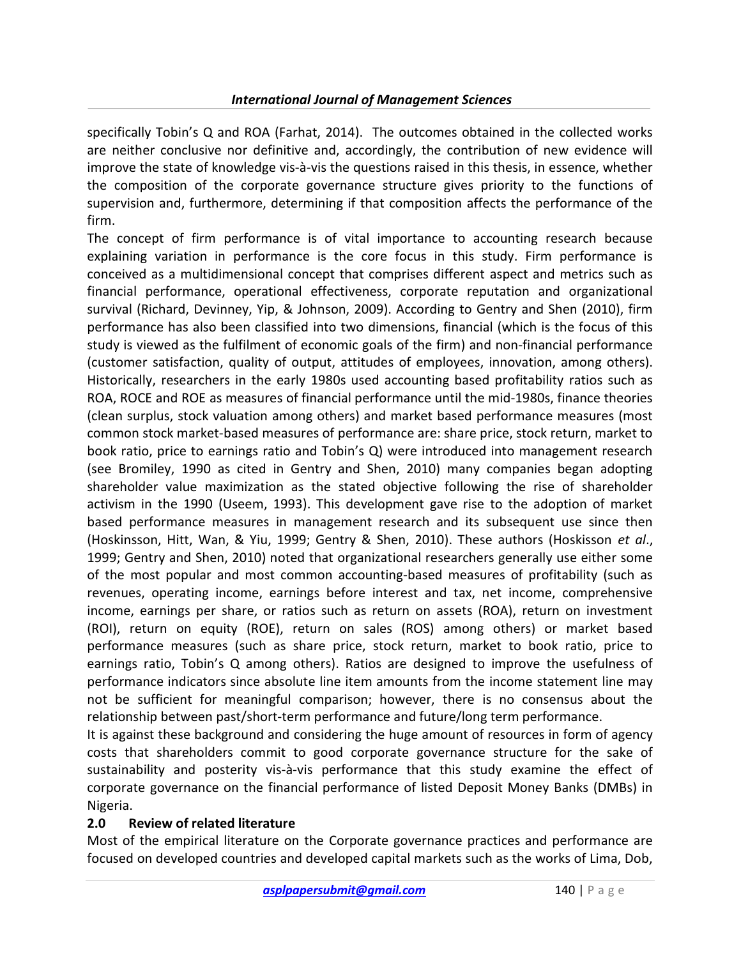specifically Tobin's Q and ROA (Farhat, 2014). The outcomes obtained in the collected works are neither conclusive nor definitive and, accordingly, the contribution of new evidence will improve the state of knowledge vis-à-vis the questions raised in this thesis, in essence, whether the composition of the corporate governance structure gives priority to the functions of supervision and, furthermore, determining if that composition affects the performance of the firm.

The concept of firm performance is of vital importance to accounting research because explaining variation in performance is the core focus in this study. Firm performance is conceived as a multidimensional concept that comprises different aspect and metrics such as financial performance, operational effectiveness, corporate reputation and organizational survival (Richard, Devinney, Yip, & Johnson, 2009). According to Gentry and Shen (2010), firm performance has also been classified into two dimensions, financial (which is the focus of this study is viewed as the fulfilment of economic goals of the firm) and non-financial performance (customer satisfaction, quality of output, attitudes of employees, innovation, among others). Historically, researchers in the early 1980s used accounting based profitability ratios such as ROA, ROCE and ROE as measures of financial performance until the mid-1980s, finance theories (clean surplus, stock valuation among others) and market based performance measures (most common stock market-based measures of performance are: share price, stock return, market to book ratio, price to earnings ratio and Tobin's Q) were introduced into management research (see Bromiley, 1990 as cited in Gentry and Shen, 2010) many companies began adopting shareholder value maximization as the stated objective following the rise of shareholder activism in the 1990 (Useem, 1993). This development gave rise to the adoption of market based performance measures in management research and its subsequent use since then (Hoskinsson, Hitt, Wan, & Yiu, 1999; Gentry & Shen, 2010). These authors (Hoskisson et al., 1999; Gentry and Shen, 2010) noted that organizational researchers generally use either some of the most popular and most common accounting-based measures of profitability (such as revenues, operating income, earnings before interest and tax, net income, comprehensive income, earnings per share, or ratios such as return on assets (ROA), return on investment (ROI), return on equity (ROE), return on sales (ROS) among others) or market based performance measures (such as share price, stock return, market to book ratio, price to earnings ratio, Tobin's Q among others). Ratios are designed to improve the usefulness of performance indicators since absolute line item amounts from the income statement line may not be sufficient for meaningful comparison; however, there is no consensus about the relationship between past/short-term performance and future/long term performance.

It is against these background and considering the huge amount of resources in form of agency costs that shareholders commit to good corporate governance structure for the sake of sustainability and posterity vis-à-vis performance that this study examine the effect of corporate governance on the financial performance of listed Deposit Money Banks (DMBs) in Nigeria.

#### 2.0 Review of related literature

Most of the empirical literature on the Corporate governance practices and performance are focused on developed countries and developed capital markets such as the works of Lima, Dob,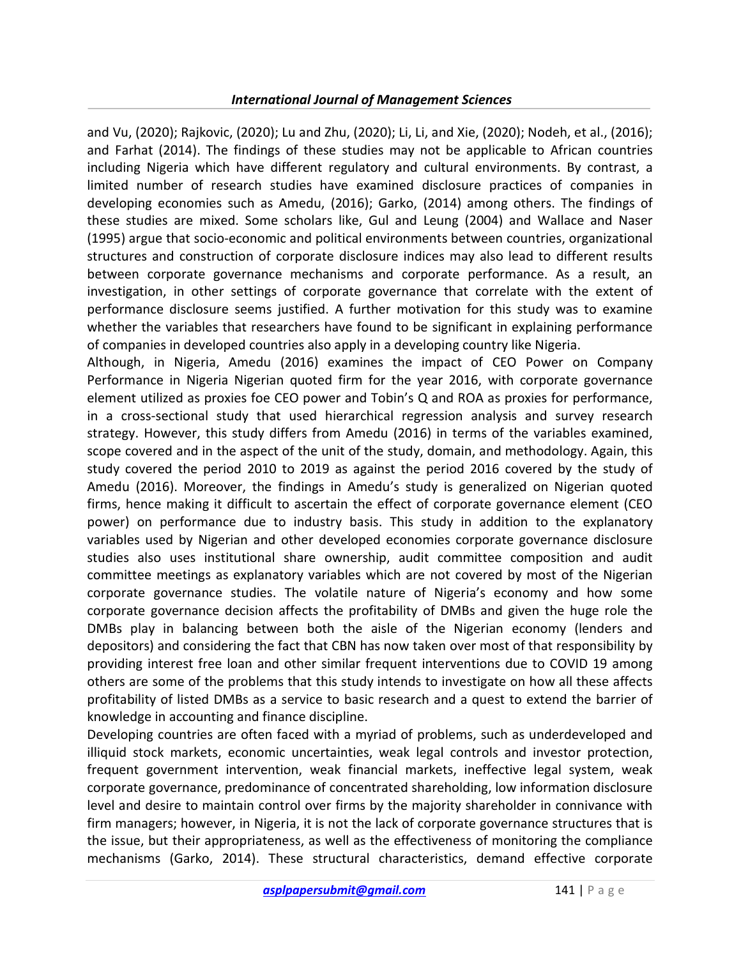and Vu, (2020); Rajkovic, (2020); Lu and Zhu, (2020); Li, Li, and Xie, (2020); Nodeh, et al., (2016); and Farhat (2014). The findings of these studies may not be applicable to African countries including Nigeria which have different regulatory and cultural environments. By contrast, a limited number of research studies have examined disclosure practices of companies in developing economies such as Amedu, (2016); Garko, (2014) among others. The findings of these studies are mixed. Some scholars like, Gul and Leung (2004) and Wallace and Naser (1995) argue that socio-economic and political environments between countries, organizational structures and construction of corporate disclosure indices may also lead to different results between corporate governance mechanisms and corporate performance. As a result, an investigation, in other settings of corporate governance that correlate with the extent of performance disclosure seems justified. A further motivation for this study was to examine whether the variables that researchers have found to be significant in explaining performance of companies in developed countries also apply in a developing country like Nigeria.

Although, in Nigeria, Amedu (2016) examines the impact of CEO Power on Company Performance in Nigeria Nigerian quoted firm for the year 2016, with corporate governance element utilized as proxies foe CEO power and Tobin's Q and ROA as proxies for performance, in a cross-sectional study that used hierarchical regression analysis and survey research strategy. However, this study differs from Amedu (2016) in terms of the variables examined, scope covered and in the aspect of the unit of the study, domain, and methodology. Again, this study covered the period 2010 to 2019 as against the period 2016 covered by the study of Amedu (2016). Moreover, the findings in Amedu's study is generalized on Nigerian quoted firms, hence making it difficult to ascertain the effect of corporate governance element (CEO power) on performance due to industry basis. This study in addition to the explanatory variables used by Nigerian and other developed economies corporate governance disclosure studies also uses institutional share ownership, audit committee composition and audit committee meetings as explanatory variables which are not covered by most of the Nigerian corporate governance studies. The volatile nature of Nigeria's economy and how some corporate governance decision affects the profitability of DMBs and given the huge role the DMBs play in balancing between both the aisle of the Nigerian economy (lenders and depositors) and considering the fact that CBN has now taken over most of that responsibility by providing interest free loan and other similar frequent interventions due to COVID 19 among others are some of the problems that this study intends to investigate on how all these affects profitability of listed DMBs as a service to basic research and a quest to extend the barrier of knowledge in accounting and finance discipline.

Developing countries are often faced with a myriad of problems, such as underdeveloped and illiquid stock markets, economic uncertainties, weak legal controls and investor protection, frequent government intervention, weak financial markets, ineffective legal system, weak corporate governance, predominance of concentrated shareholding, low information disclosure level and desire to maintain control over firms by the majority shareholder in connivance with firm managers; however, in Nigeria, it is not the lack of corporate governance structures that is the issue, but their appropriateness, as well as the effectiveness of monitoring the compliance mechanisms (Garko, 2014). These structural characteristics, demand effective corporate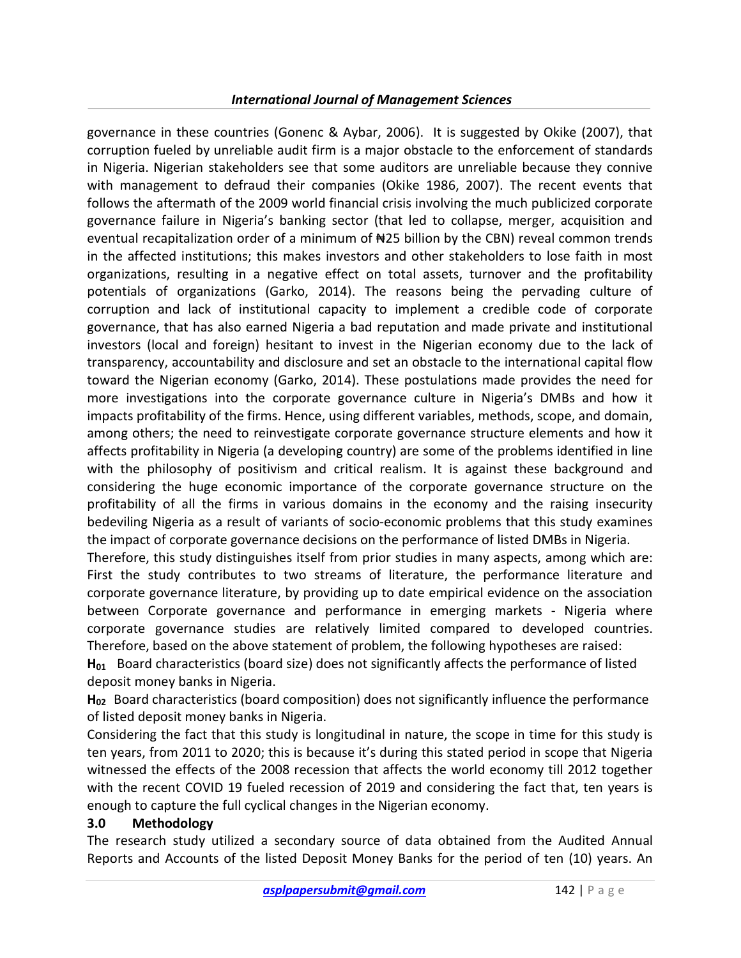governance in these countries (Gonenc & Aybar, 2006). It is suggested by Okike (2007), that corruption fueled by unreliable audit firm is a major obstacle to the enforcement of standards in Nigeria. Nigerian stakeholders see that some auditors are unreliable because they connive with management to defraud their companies (Okike 1986, 2007). The recent events that follows the aftermath of the 2009 world financial crisis involving the much publicized corporate governance failure in Nigeria's banking sector (that led to collapse, merger, acquisition and eventual recapitalization order of a minimum of  $H25$  billion by the CBN) reveal common trends in the affected institutions; this makes investors and other stakeholders to lose faith in most organizations, resulting in a negative effect on total assets, turnover and the profitability potentials of organizations (Garko, 2014). The reasons being the pervading culture of corruption and lack of institutional capacity to implement a credible code of corporate governance, that has also earned Nigeria a bad reputation and made private and institutional investors (local and foreign) hesitant to invest in the Nigerian economy due to the lack of transparency, accountability and disclosure and set an obstacle to the international capital flow toward the Nigerian economy (Garko, 2014). These postulations made provides the need for more investigations into the corporate governance culture in Nigeria's DMBs and how it impacts profitability of the firms. Hence, using different variables, methods, scope, and domain, among others; the need to reinvestigate corporate governance structure elements and how it affects profitability in Nigeria (a developing country) are some of the problems identified in line with the philosophy of positivism and critical realism. It is against these background and considering the huge economic importance of the corporate governance structure on the profitability of all the firms in various domains in the economy and the raising insecurity bedeviling Nigeria as a result of variants of socio-economic problems that this study examines the impact of corporate governance decisions on the performance of listed DMBs in Nigeria.

Therefore, this study distinguishes itself from prior studies in many aspects, among which are: First the study contributes to two streams of literature, the performance literature and corporate governance literature, by providing up to date empirical evidence on the association between Corporate governance and performance in emerging markets - Nigeria where corporate governance studies are relatively limited compared to developed countries. Therefore, based on the above statement of problem, the following hypotheses are raised:

 $H<sub>01</sub>$  Board characteristics (board size) does not significantly affects the performance of listed deposit money banks in Nigeria.

 $H<sub>02</sub>$  Board characteristics (board composition) does not significantly influence the performance of listed deposit money banks in Nigeria.

Considering the fact that this study is longitudinal in nature, the scope in time for this study is ten years, from 2011 to 2020; this is because it's during this stated period in scope that Nigeria witnessed the effects of the 2008 recession that affects the world economy till 2012 together with the recent COVID 19 fueled recession of 2019 and considering the fact that, ten years is enough to capture the full cyclical changes in the Nigerian economy.

## 3.0 Methodology

The research study utilized a secondary source of data obtained from the Audited Annual Reports and Accounts of the listed Deposit Money Banks for the period of ten (10) years. An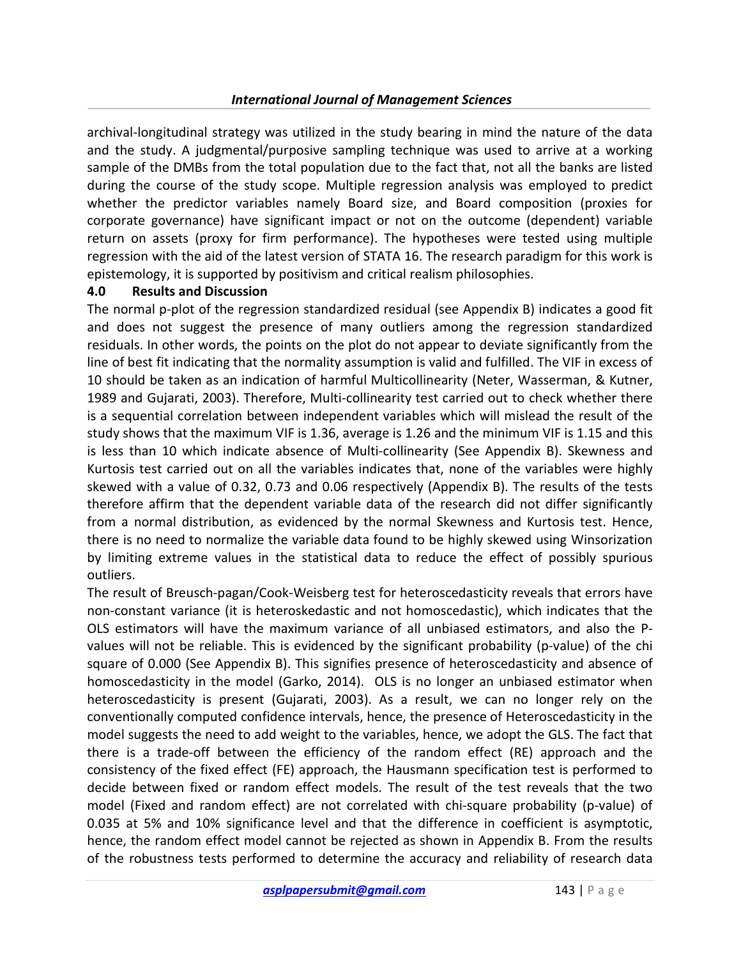archival-longitudinal strategy was utilized in the study bearing in mind the nature of the data and the study. A judgmental/purposive sampling technique was used to arrive at a working sample of the DMBs from the total population due to the fact that, not all the banks are listed during the course of the study scope. Multiple regression analysis was employed to predict whether the predictor variables namely Board size, and Board composition (proxies for corporate governance) have significant impact or not on the outcome (dependent) variable return on assets (proxy for firm performance). The hypotheses were tested using multiple regression with the aid of the latest version of STATA 16. The research paradigm for this work is epistemology, it is supported by positivism and critical realism philosophies.

#### 4.0 Results and Discussion

The normal p-plot of the regression standardized residual (see Appendix B) indicates a good fit and does not suggest the presence of many outliers among the regression standardized residuals. In other words, the points on the plot do not appear to deviate significantly from the line of best fit indicating that the normality assumption is valid and fulfilled. The VIF in excess of 10 should be taken as an indication of harmful Multicollinearity (Neter, Wasserman, & Kutner, 1989 and Gujarati, 2003). Therefore, Multi-collinearity test carried out to check whether there is a sequential correlation between independent variables which will mislead the result of the study shows that the maximum VIF is 1.36, average is 1.26 and the minimum VIF is 1.15 and this is less than 10 which indicate absence of Multi-collinearity (See Appendix B). Skewness and Kurtosis test carried out on all the variables indicates that, none of the variables were highly skewed with a value of 0.32, 0.73 and 0.06 respectively (Appendix B). The results of the tests therefore affirm that the dependent variable data of the research did not differ significantly from a normal distribution, as evidenced by the normal Skewness and Kurtosis test. Hence, there is no need to normalize the variable data found to be highly skewed using Winsorization by limiting extreme values in the statistical data to reduce the effect of possibly spurious outliers.

The result of Breusch-pagan/Cook-Weisberg test for heteroscedasticity reveals that errors have non-constant variance (it is heteroskedastic and not homoscedastic), which indicates that the OLS estimators will have the maximum variance of all unbiased estimators, and also the Pvalues will not be reliable. This is evidenced by the significant probability (p-value) of the chi square of 0.000 (See Appendix B). This signifies presence of heteroscedasticity and absence of homoscedasticity in the model (Garko, 2014). OLS is no longer an unbiased estimator when heteroscedasticity is present (Gujarati, 2003). As a result, we can no longer rely on the conventionally computed confidence intervals, hence, the presence of Heteroscedasticity in the model suggests the need to add weight to the variables, hence, we adopt the GLS. The fact that there is a trade-off between the efficiency of the random effect (RE) approach and the consistency of the fixed effect (FE) approach, the Hausmann specification test is performed to decide between fixed or random effect models. The result of the test reveals that the two model (Fixed and random effect) are not correlated with chi-square probability (p-value) of 0.035 at 5% and 10% significance level and that the difference in coefficient is asymptotic, hence, the random effect model cannot be rejected as shown in Appendix B. From the results of the robustness tests performed to determine the accuracy and reliability of research data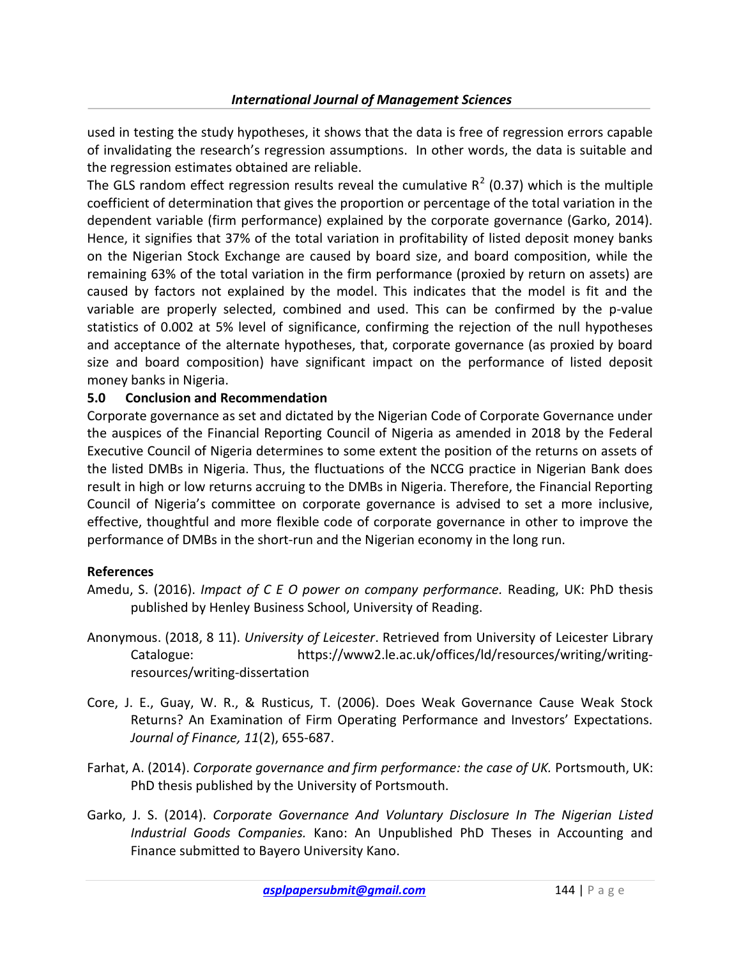used in testing the study hypotheses, it shows that the data is free of regression errors capable of invalidating the research's regression assumptions. In other words, the data is suitable and the regression estimates obtained are reliable.

The GLS random effect regression results reveal the cumulative  $R^2$  (0.37) which is the multiple coefficient of determination that gives the proportion or percentage of the total variation in the dependent variable (firm performance) explained by the corporate governance (Garko, 2014). Hence, it signifies that 37% of the total variation in profitability of listed deposit money banks on the Nigerian Stock Exchange are caused by board size, and board composition, while the remaining 63% of the total variation in the firm performance (proxied by return on assets) are caused by factors not explained by the model. This indicates that the model is fit and the variable are properly selected, combined and used. This can be confirmed by the p-value statistics of 0.002 at 5% level of significance, confirming the rejection of the null hypotheses and acceptance of the alternate hypotheses, that, corporate governance (as proxied by board size and board composition) have significant impact on the performance of listed deposit money banks in Nigeria.

#### 5.0 Conclusion and Recommendation

Corporate governance as set and dictated by the Nigerian Code of Corporate Governance under the auspices of the Financial Reporting Council of Nigeria as amended in 2018 by the Federal Executive Council of Nigeria determines to some extent the position of the returns on assets of the listed DMBs in Nigeria. Thus, the fluctuations of the NCCG practice in Nigerian Bank does result in high or low returns accruing to the DMBs in Nigeria. Therefore, the Financial Reporting Council of Nigeria's committee on corporate governance is advised to set a more inclusive, effective, thoughtful and more flexible code of corporate governance in other to improve the performance of DMBs in the short-run and the Nigerian economy in the long run.

#### References

- Amedu, S. (2016). Impact of C E O power on company performance. Reading, UK: PhD thesis published by Henley Business School, University of Reading.
- Anonymous. (2018, 8 11). University of Leicester. Retrieved from University of Leicester Library Catalogue: https://www2.le.ac.uk/offices/ld/resources/writing/writingresources/writing-dissertation
- Core, J. E., Guay, W. R., & Rusticus, T. (2006). Does Weak Governance Cause Weak Stock Returns? An Examination of Firm Operating Performance and Investors' Expectations. Journal of Finance, 11(2), 655-687.
- Farhat, A. (2014). Corporate governance and firm performance: the case of UK. Portsmouth, UK: PhD thesis published by the University of Portsmouth.
- Garko, J. S. (2014). Corporate Governance And Voluntary Disclosure In The Nigerian Listed Industrial Goods Companies. Kano: An Unpublished PhD Theses in Accounting and Finance submitted to Bayero University Kano.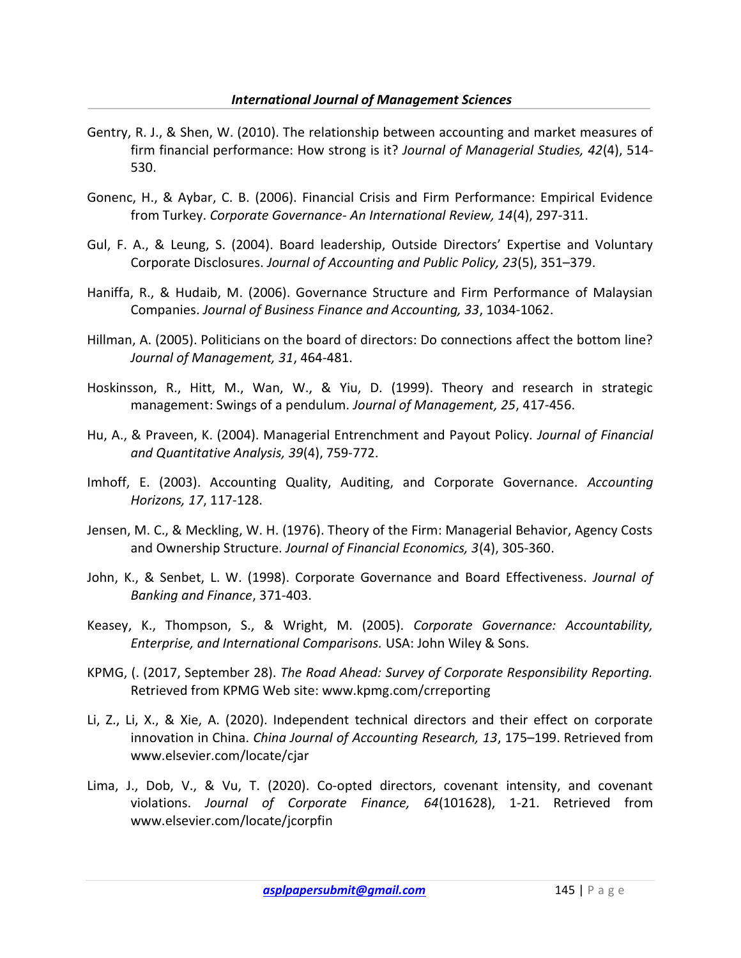- Gentry, R. J., & Shen, W. (2010). The relationship between accounting and market measures of firm financial performance: How strong is it? Journal of Managerial Studies, 42(4), 514-530.
- Gonenc, H., & Aybar, C. B. (2006). Financial Crisis and Firm Performance: Empirical Evidence from Turkey. Corporate Governance- An International Review, 14(4), 297-311.
- Gul, F. A., & Leung, S. (2004). Board leadership, Outside Directors' Expertise and Voluntary Corporate Disclosures. Journal of Accounting and Public Policy, 23(5), 351–379.
- Haniffa, R., & Hudaib, M. (2006). Governance Structure and Firm Performance of Malaysian Companies. Journal of Business Finance and Accounting, 33, 1034-1062.
- Hillman, A. (2005). Politicians on the board of directors: Do connections affect the bottom line? Journal of Management, 31, 464-481.
- Hoskinsson, R., Hitt, M., Wan, W., & Yiu, D. (1999). Theory and research in strategic management: Swings of a pendulum. Journal of Management, 25, 417-456.
- Hu, A., & Praveen, K. (2004). Managerial Entrenchment and Payout Policy. Journal of Financial and Quantitative Analysis, 39(4), 759-772.
- Imhoff, E. (2003). Accounting Quality, Auditing, and Corporate Governance. Accounting Horizons, 17, 117-128.
- Jensen, M. C., & Meckling, W. H. (1976). Theory of the Firm: Managerial Behavior, Agency Costs and Ownership Structure. Journal of Financial Economics, 3(4), 305-360.
- John, K., & Senbet, L. W. (1998). Corporate Governance and Board Effectiveness. Journal of Banking and Finance, 371-403.
- Keasey, K., Thompson, S., & Wright, M. (2005). Corporate Governance: Accountability, Enterprise, and International Comparisons. USA: John Wiley & Sons.
- KPMG, (. (2017, September 28). The Road Ahead: Survey of Corporate Responsibility Reporting. Retrieved from KPMG Web site: www.kpmg.com/crreporting
- Li, Z., Li, X., & Xie, A. (2020). Independent technical directors and their effect on corporate innovation in China. China Journal of Accounting Research, 13, 175–199. Retrieved from www.elsevier.com/locate/cjar
- Lima, J., Dob, V., & Vu, T. (2020). Co-opted directors, covenant intensity, and covenant violations. Journal of Corporate Finance, 64(101628), 1-21. Retrieved from www.elsevier.com/locate/jcorpfin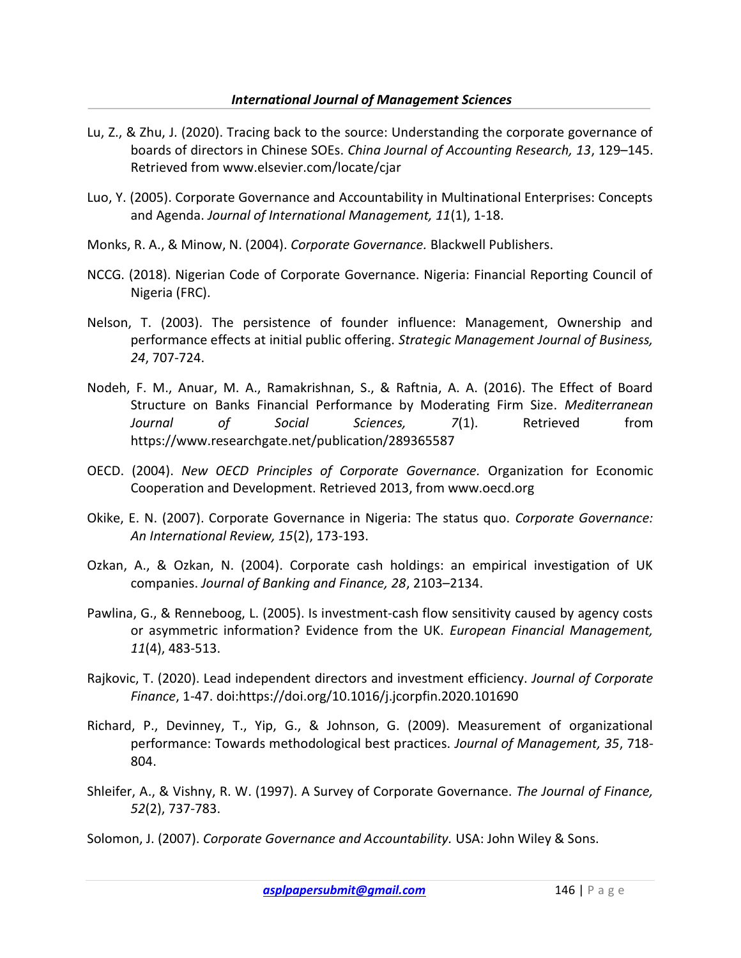- Lu, Z., & Zhu, J. (2020). Tracing back to the source: Understanding the corporate governance of boards of directors in Chinese SOEs. China Journal of Accounting Research, 13, 129–145. Retrieved from www.elsevier.com/locate/cjar
- Luo, Y. (2005). Corporate Governance and Accountability in Multinational Enterprises: Concepts and Agenda. Journal of International Management, 11(1), 1-18.
- Monks, R. A., & Minow, N. (2004). Corporate Governance. Blackwell Publishers.
- NCCG. (2018). Nigerian Code of Corporate Governance. Nigeria: Financial Reporting Council of Nigeria (FRC).
- Nelson, T. (2003). The persistence of founder influence: Management, Ownership and performance effects at initial public offering. Strategic Management Journal of Business, 24, 707-724.
- Nodeh, F. M., Anuar, M. A., Ramakrishnan, S., & Raftnia, A. A. (2016). The Effect of Board Structure on Banks Financial Performance by Moderating Firm Size. Mediterranean Journal of Social Sciences, 7(1). Retrieved from https://www.researchgate.net/publication/289365587
- OECD. (2004). New OECD Principles of Corporate Governance. Organization for Economic Cooperation and Development. Retrieved 2013, from www.oecd.org
- Okike, E. N. (2007). Corporate Governance in Nigeria: The status quo. Corporate Governance: An International Review, 15(2), 173-193.
- Ozkan, A., & Ozkan, N. (2004). Corporate cash holdings: an empirical investigation of UK companies. Journal of Banking and Finance, 28, 2103–2134.
- Pawlina, G., & Renneboog, L. (2005). Is investment-cash flow sensitivity caused by agency costs or asymmetric information? Evidence from the UK. European Financial Management, 11(4), 483-513.
- Rajkovic, T. (2020). Lead independent directors and investment efficiency. Journal of Corporate Finance, 1-47. doi:https://doi.org/10.1016/j.jcorpfin.2020.101690
- Richard, P., Devinney, T., Yip, G., & Johnson, G. (2009). Measurement of organizational performance: Towards methodological best practices. Journal of Management, 35, 718- 804.
- Shleifer, A., & Vishny, R. W. (1997). A Survey of Corporate Governance. The Journal of Finance, 52(2), 737-783.
- Solomon, J. (2007). Corporate Governance and Accountability. USA: John Wiley & Sons.